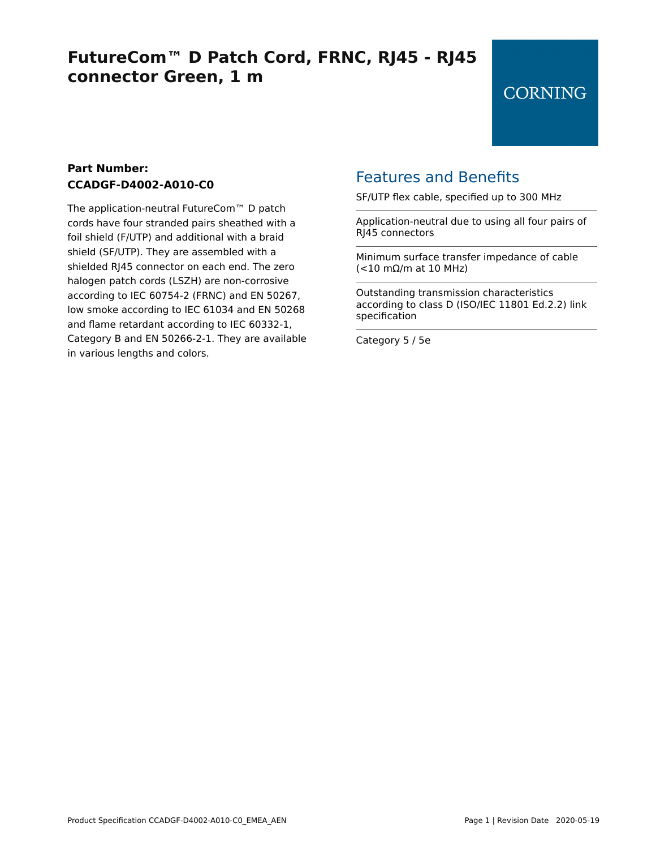# **FutureCom™ D Patch Cord, FRNC, RJ45 - RJ45 connector Green, 1 m**

#### **Part Number: CCADGF-D4002-A010-C0**

The application-neutral FutureCom™ D patch cords have four stranded pairs sheathed with a foil shield (F/UTP) and additional with a braid shield (SF/UTP). They are assembled with a shielded RJ45 connector on each end. The zero halogen patch cords (LSZH) are non-corrosive according to IEC 60754-2 (FRNC) and EN 50267, low smoke according to IEC 61034 and EN 50268 and flame retardant according to IEC 60332-1, Category B and EN 50266-2-1. They are available in various lengths and colors.

### Features and Benefits

SF/UTP flex cable, specified up to 300 MHz

Application-neutral due to using all four pairs of RJ45 connectors

Minimum surface transfer impedance of cable (<10 mΩ/m at 10 MHz)

Outstanding transmission characteristics according to class D (ISO/IEC 11801 Ed.2.2) link specification

Category 5 / 5e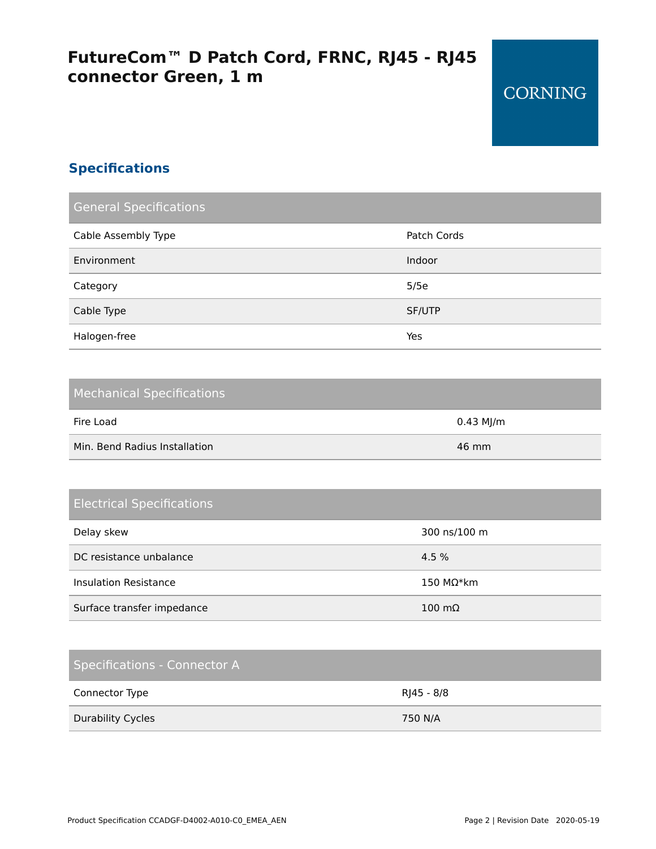# **FutureCom™ D Patch Cord, FRNC, RJ45 - RJ45 connector Green, 1 m**

### **Specifications**

| <b>General Specifications</b> |             |
|-------------------------------|-------------|
| Cable Assembly Type           | Patch Cords |
| Environment                   | Indoor      |
| Category                      | 5/5e        |
| Cable Type                    | SF/UTP      |
| Halogen-free                  | Yes         |

| <b>Mechanical Specifications</b> |           |
|----------------------------------|-----------|
| Fire Load                        | 0.43 MJ/m |
| Min. Bend Radius Installation    | 46 mm     |

### Electrical Specifications

| Delay skew                   | 300 ns/100 m          |
|------------------------------|-----------------------|
| DC resistance unbalance      | 4.5 %                 |
| <b>Insulation Resistance</b> | $150$ MΩ*km           |
| Surface transfer impedance   | $100 \text{ m}\Omega$ |

### Specifications - Connector A

| Connector Type           | RJ45 - 8/8 |
|--------------------------|------------|
| <b>Durability Cycles</b> | 750 N/A    |